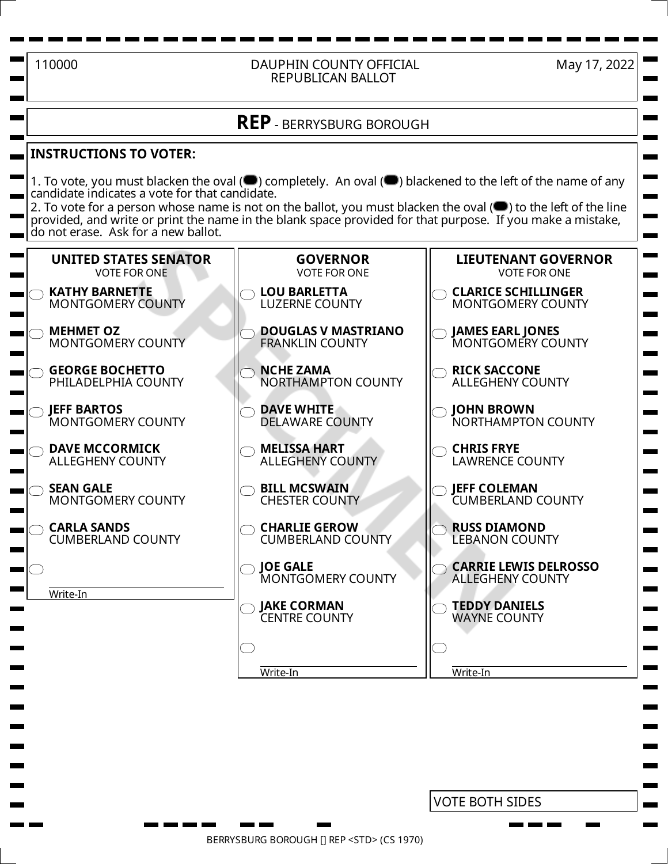## 110000 DAUPHIN COUNTY OFFICIAL REPUBLICAN BALLOT

May 17, 2022

## **REP** - BERRYSBURG BOROUGH

## **INSTRUCTIONS TO VOTER:**

1. To vote, you must blacken the oval (C) completely. An oval (C) blackened to the left of the name of any candidate indicates a vote for that candidate.

2. To vote for a person whose name is not on the ballot, you must blacken the oval  $($ **)** to the left of the line provided, and write or print the name in the blank space provided for that purpose. If you make a mistake, do not erase. Ask for a new ballot.